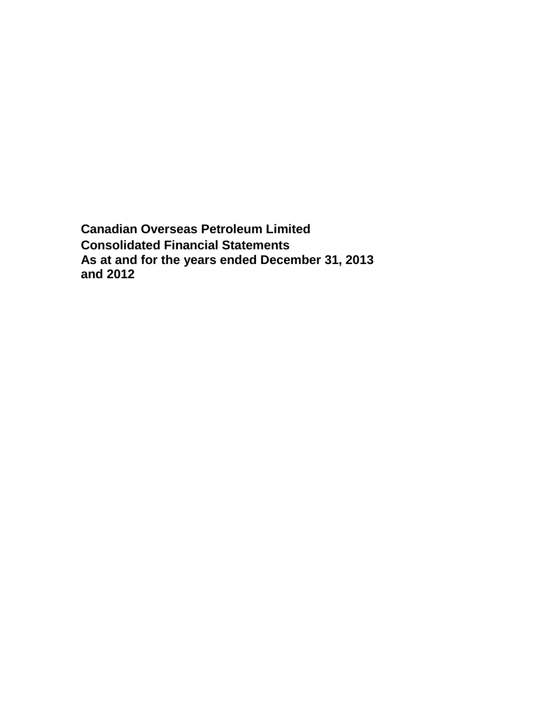**Canadian Overseas Petroleum Limited Consolidated Financial Statements As at and for the years ended December 31, 2013 and 2012**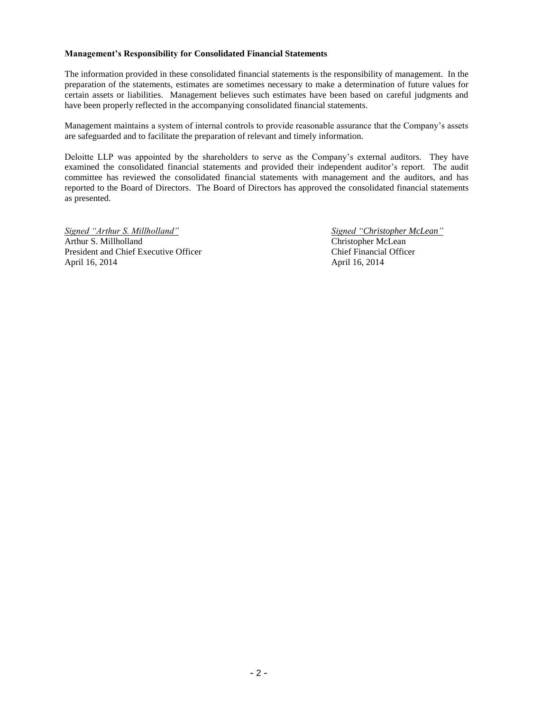### **Management's Responsibility for Consolidated Financial Statements**

The information provided in these consolidated financial statements is the responsibility of management. In the preparation of the statements, estimates are sometimes necessary to make a determination of future values for certain assets or liabilities. Management believes such estimates have been based on careful judgments and have been properly reflected in the accompanying consolidated financial statements.

Management maintains a system of internal controls to provide reasonable assurance that the Company's assets are safeguarded and to facilitate the preparation of relevant and timely information.

Deloitte LLP was appointed by the shareholders to serve as the Company's external auditors. They have examined the consolidated financial statements and provided their independent auditor's report. The audit committee has reviewed the consolidated financial statements with management and the auditors, and has reported to the Board of Directors. The Board of Directors has approved the consolidated financial statements as presented.

*Signed "Arthur S. Millholland" Signed "Christopher McLean"* Arthur S. Millholland Christopher McLean President and Chief Executive Officer Chief Financial Officer Chief Financial Officer April 16, 2014 **April 16, 2014**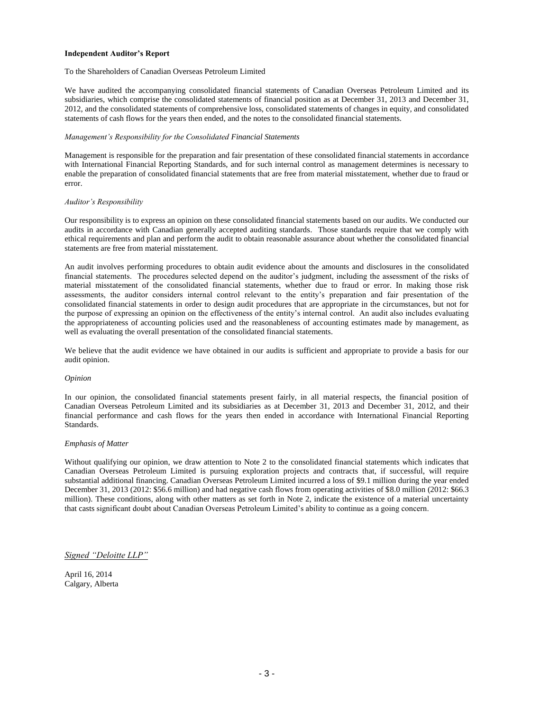#### **Independent Auditor's Report**

#### To the Shareholders of Canadian Overseas Petroleum Limited

We have audited the accompanying consolidated financial statements of Canadian Overseas Petroleum Limited and its subsidiaries, which comprise the consolidated statements of financial position as at December 31, 2013 and December 31, 2012, and the consolidated statements of comprehensive loss, consolidated statements of changes in equity, and consolidated statements of cash flows for the years then ended, and the notes to the consolidated financial statements.

#### *Management's Responsibility for the Consolidated Financial Statements*

Management is responsible for the preparation and fair presentation of these consolidated financial statements in accordance with International Financial Reporting Standards, and for such internal control as management determines is necessary to enable the preparation of consolidated financial statements that are free from material misstatement, whether due to fraud or error.

#### *Auditor's Responsibility*

Our responsibility is to express an opinion on these consolidated financial statements based on our audits. We conducted our audits in accordance with Canadian generally accepted auditing standards. Those standards require that we comply with ethical requirements and plan and perform the audit to obtain reasonable assurance about whether the consolidated financial statements are free from material misstatement.

An audit involves performing procedures to obtain audit evidence about the amounts and disclosures in the consolidated financial statements. The procedures selected depend on the auditor's judgment, including the assessment of the risks of material misstatement of the consolidated financial statements, whether due to fraud or error. In making those risk assessments, the auditor considers internal control relevant to the entity's preparation and fair presentation of the consolidated financial statements in order to design audit procedures that are appropriate in the circumstances, but not for the purpose of expressing an opinion on the effectiveness of the entity's internal control. An audit also includes evaluating the appropriateness of accounting policies used and the reasonableness of accounting estimates made by management, as well as evaluating the overall presentation of the consolidated financial statements.

We believe that the audit evidence we have obtained in our audits is sufficient and appropriate to provide a basis for our audit opinion.

#### *Opinion*

In our opinion, the consolidated financial statements present fairly, in all material respects, the financial position of Canadian Overseas Petroleum Limited and its subsidiaries as at December 31, 2013 and December 31, 2012, and their financial performance and cash flows for the years then ended in accordance with International Financial Reporting Standards.

#### *Emphasis of Matter*

Without qualifying our opinion, we draw attention to Note 2 to the consolidated financial statements which indicates that Canadian Overseas Petroleum Limited is pursuing exploration projects and contracts that, if successful, will require substantial additional financing. Canadian Overseas Petroleum Limited incurred a loss of \$9.1 million during the year ended December 31, 2013 (2012: \$56.6 million) and had negative cash flows from operating activities of \$8.0 million (2012: \$66.3 million). These conditions, along with other matters as set forth in Note 2, indicate the existence of a material uncertainty that casts significant doubt about Canadian Overseas Petroleum Limited's ability to continue as a going concern.

*Signed "Deloitte LLP"*

April 16, 2014 Calgary, Alberta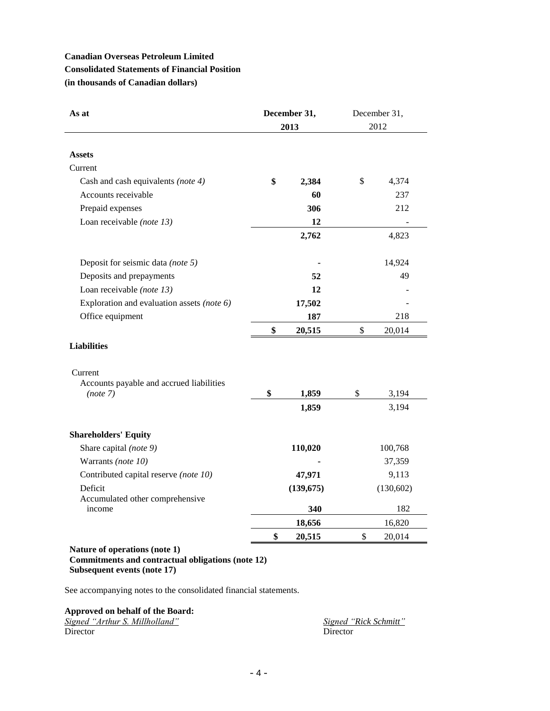# **Canadian Overseas Petroleum Limited Consolidated Statements of Financial Position (in thousands of Canadian dollars)**

| As at                                                 | December 31,<br>2013 |                | December 31,<br>2012 |                |
|-------------------------------------------------------|----------------------|----------------|----------------------|----------------|
| <b>Assets</b>                                         |                      |                |                      |                |
| Current                                               |                      |                |                      |                |
| Cash and cash equivalents (note 4)                    | \$                   | 2,384          | $\mathbb{S}$         | 4,374          |
| Accounts receivable                                   |                      | 60             |                      | 237            |
| Prepaid expenses                                      |                      | 306            |                      | 212            |
| Loan receivable (note 13)                             |                      | 12             |                      |                |
|                                                       |                      | 2,762          |                      | 4,823          |
| Deposit for seismic data (note 5)                     |                      |                |                      | 14,924         |
| Deposits and prepayments                              |                      | 52             |                      | 49             |
| Loan receivable (note 13)                             |                      | 12             |                      |                |
| Exploration and evaluation assets (note 6)            |                      | 17,502         |                      |                |
| Office equipment                                      |                      | 187            |                      | 218            |
|                                                       | \$                   | 20,515         | $\$$                 | 20,014         |
| <b>Liabilities</b>                                    |                      |                |                      |                |
| Current<br>Accounts payable and accrued liabilities   | \$                   |                | $\$$                 |                |
| (note 7)                                              |                      | 1,859<br>1,859 |                      | 3,194<br>3,194 |
|                                                       |                      |                |                      |                |
| <b>Shareholders' Equity</b><br>Share capital (note 9) |                      | 110,020        |                      | 100,768        |
| Warrants (note 10)                                    |                      |                |                      | 37,359         |
| Contributed capital reserve (note 10)                 |                      | 47,971         |                      | 9,113          |
| Deficit                                               |                      | (139, 675)     |                      | (130, 602)     |
| Accumulated other comprehensive                       |                      |                |                      |                |
| income                                                |                      | 340            |                      | 182            |
|                                                       |                      | 18,656         |                      | 16,820         |
|                                                       | \$                   | 20,515         | \$                   | 20,014         |

**Commitments and contractual obligations (note 12) Subsequent events (note 17)**

See accompanying notes to the consolidated financial statements.

# **Approved on behalf of the Board:**

*Signed "Arthur S. Millholland" Signed "Rick Schmitt"* Director Director Director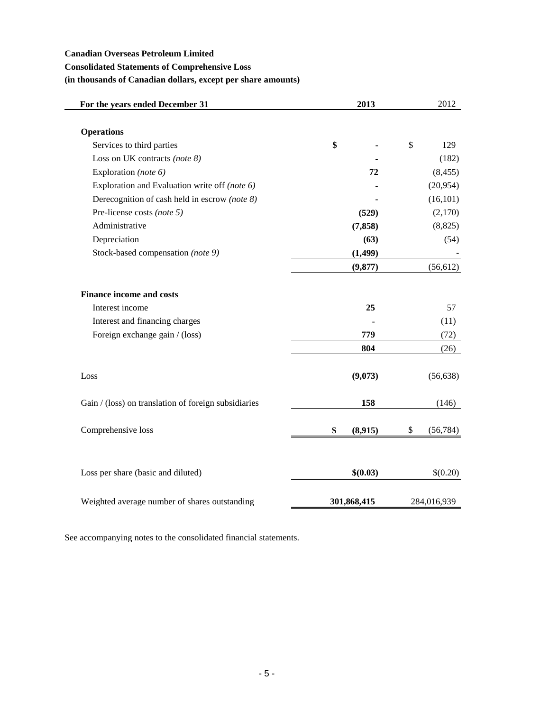### **Canadian Overseas Petroleum Limited**

### **Consolidated Statements of Comprehensive Loss**

# **(in thousands of Canadian dollars, except per share amounts)**

| For the years ended December 31                       | 2013          | 2012            |
|-------------------------------------------------------|---------------|-----------------|
|                                                       |               |                 |
| <b>Operations</b>                                     |               |                 |
| Services to third parties                             | \$            | \$<br>129       |
| Loss on UK contracts (note 8)                         |               | (182)           |
| Exploration (note 6)                                  | 72            | (8, 455)        |
| Exploration and Evaluation write off (note 6)         |               | (20, 954)       |
| Derecognition of cash held in escrow (note $\delta$ ) |               | (16, 101)       |
| Pre-license costs (note 5)                            | (529)         | (2,170)         |
| Administrative                                        | (7, 858)      | (8, 825)        |
| Depreciation                                          | (63)          | (54)            |
| Stock-based compensation (note 9)                     | (1, 499)      |                 |
|                                                       | (9, 877)      | (56, 612)       |
| <b>Finance income and costs</b>                       |               |                 |
| Interest income                                       | 25            | 57              |
| Interest and financing charges                        |               | (11)            |
| Foreign exchange gain / (loss)                        | 779           | (72)            |
|                                                       | 804           | (26)            |
| Loss                                                  | (9,073)       | (56, 638)       |
| Gain / (loss) on translation of foreign subsidiaries  | 158           | (146)           |
| Comprehensive loss                                    | \$<br>(8,915) | \$<br>(56, 784) |
|                                                       |               |                 |
| Loss per share (basic and diluted)                    | \$(0.03)      | \$(0.20)        |
| Weighted average number of shares outstanding         | 301,868,415   | 284,016,939     |

See accompanying notes to the consolidated financial statements.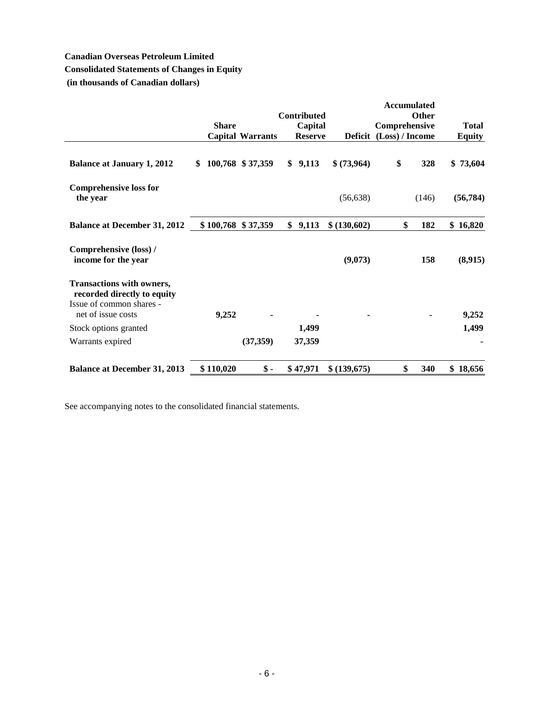# **Canadian Overseas Petroleum Limited**

# **Consolidated Statements of Changes in Equity**

**(in thousands of Canadian dollars)**

|                                                                                             | <b>Share</b>         | <b>Capital Warrants</b> | <b>Contributed</b><br>Capital<br><b>Reserve</b> | <b>Deficit</b> | <b>Accumulated</b><br>Comprehensive<br>(Loss) / Income | <b>Other</b> | <b>Total</b><br><b>Equity</b> |
|---------------------------------------------------------------------------------------------|----------------------|-------------------------|-------------------------------------------------|----------------|--------------------------------------------------------|--------------|-------------------------------|
| <b>Balance at January 1, 2012</b>                                                           | \$                   | 100,768 \$37,359        | \$9,113                                         | \$ (73,964)    | \$                                                     | 328          | \$73,604                      |
| <b>Comprehensive loss for</b><br>the year                                                   |                      |                         |                                                 | (56, 638)      |                                                        | (146)        | (56, 784)                     |
| <b>Balance at December 31, 2012</b>                                                         | $$100,768$ $$37,359$ |                         | \$<br>9,113                                     | \$ (130,602)   | \$                                                     | 182          | \$16,820                      |
| Comprehensive (loss) /<br>income for the year                                               |                      |                         |                                                 | (9,073)        |                                                        | 158          | (8,915)                       |
| <b>Transactions with owners,</b><br>recorded directly to equity<br>Issue of common shares - |                      |                         |                                                 |                |                                                        |              |                               |
| net of issue costs                                                                          | 9,252                |                         |                                                 |                |                                                        |              | 9,252                         |
| Stock options granted                                                                       |                      |                         | 1,499                                           |                |                                                        |              | 1,499                         |
| Warrants expired                                                                            |                      | (37, 359)               | 37,359                                          |                |                                                        |              |                               |
| <b>Balance at December 31, 2013</b>                                                         | \$110,020            | $\$ -                   | \$47,971                                        | \$ (139,675)   | \$                                                     | 340          | \$18,656                      |

See accompanying notes to the consolidated financial statements.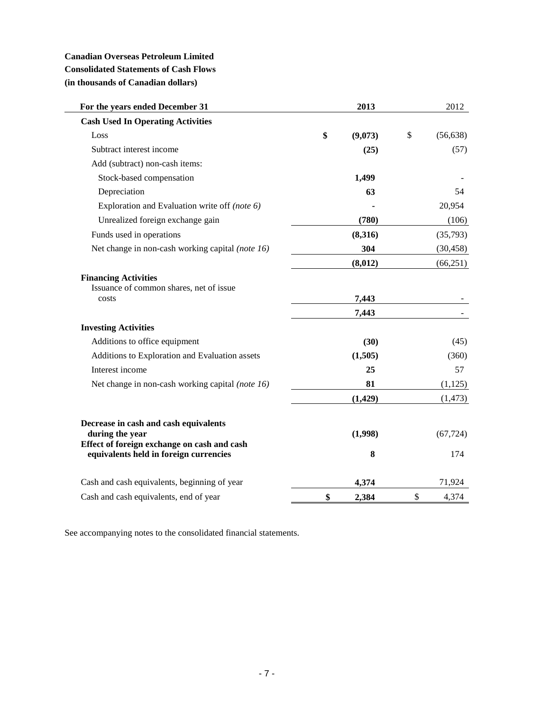# **Canadian Overseas Petroleum Limited Consolidated Statements of Cash Flows (in thousands of Canadian dollars)**

| For the years ended December 31                                                       | 2013           | 2012            |
|---------------------------------------------------------------------------------------|----------------|-----------------|
| <b>Cash Used In Operating Activities</b>                                              |                |                 |
| Loss                                                                                  | \$<br>(9,073)  | \$<br>(56, 638) |
| Subtract interest income                                                              | (25)           | (57)            |
| Add (subtract) non-cash items:                                                        |                |                 |
| Stock-based compensation                                                              | 1,499          |                 |
| Depreciation                                                                          | 63             | 54              |
| Exploration and Evaluation write off (note 6)                                         |                | 20,954          |
| Unrealized foreign exchange gain                                                      | (780)          | (106)           |
| Funds used in operations                                                              | (8,316)        | (35,793)        |
| Net change in non-cash working capital (note 16)                                      | 304            | (30, 458)       |
|                                                                                       | (8,012)        | (66, 251)       |
| <b>Financing Activities</b><br>Issuance of common shares, net of issue<br>costs       | 7,443<br>7,443 |                 |
| <b>Investing Activities</b>                                                           |                |                 |
| Additions to office equipment                                                         | (30)           | (45)            |
| Additions to Exploration and Evaluation assets                                        | (1,505)        | (360)           |
| Interest income                                                                       | 25             | 57              |
| Net change in non-cash working capital (note 16)                                      | 81             | (1, 125)        |
|                                                                                       | (1, 429)       | (1, 473)        |
| Decrease in cash and cash equivalents<br>during the year                              | (1,998)        | (67, 724)       |
| Effect of foreign exchange on cash and cash<br>equivalents held in foreign currencies | 8              | 174             |
| Cash and cash equivalents, beginning of year                                          | 4,374          | 71,924          |
| Cash and cash equivalents, end of year                                                | \$<br>2,384    | \$<br>4,374     |

See accompanying notes to the consolidated financial statements.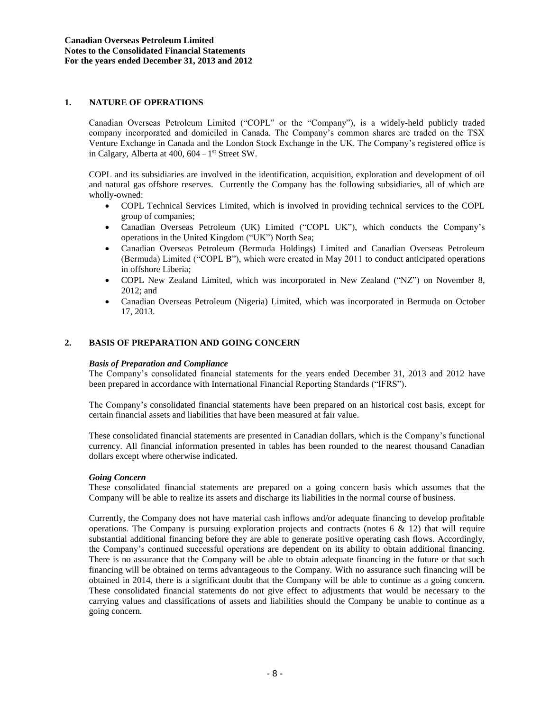### **1. NATURE OF OPERATIONS**

Canadian Overseas Petroleum Limited ("COPL" or the "Company"), is a widely-held publicly traded company incorporated and domiciled in Canada. The Company's common shares are traded on the TSX Venture Exchange in Canada and the London Stock Exchange in the UK. The Company's registered office is in Calgary, Alberta at  $400$ ,  $604 - 1$ <sup>st</sup> Street SW.

COPL and its subsidiaries are involved in the identification, acquisition, exploration and development of oil and natural gas offshore reserves. Currently the Company has the following subsidiaries, all of which are wholly-owned:

- COPL Technical Services Limited, which is involved in providing technical services to the COPL group of companies;
- Canadian Overseas Petroleum (UK) Limited ("COPL UK"), which conducts the Company's operations in the United Kingdom ("UK") North Sea;
- Canadian Overseas Petroleum (Bermuda Holdings) Limited and Canadian Overseas Petroleum (Bermuda) Limited ("COPL B"), which were created in May 2011 to conduct anticipated operations in offshore Liberia;
- COPL New Zealand Limited, which was incorporated in New Zealand ("NZ") on November 8, 2012; and
- Canadian Overseas Petroleum (Nigeria) Limited, which was incorporated in Bermuda on October 17, 2013.

### **2. BASIS OF PREPARATION AND GOING CONCERN**

#### *Basis of Preparation and Compliance*

The Company's consolidated financial statements for the years ended December 31, 2013 and 2012 have been prepared in accordance with International Financial Reporting Standards ("IFRS").

The Company's consolidated financial statements have been prepared on an historical cost basis, except for certain financial assets and liabilities that have been measured at fair value.

These consolidated financial statements are presented in Canadian dollars, which is the Company's functional currency. All financial information presented in tables has been rounded to the nearest thousand Canadian dollars except where otherwise indicated.

#### *Going Concern*

These consolidated financial statements are prepared on a going concern basis which assumes that the Company will be able to realize its assets and discharge its liabilities in the normal course of business.

Currently, the Company does not have material cash inflows and/or adequate financing to develop profitable operations. The Company is pursuing exploration projects and contracts (notes  $6 \& 12$ ) that will require substantial additional financing before they are able to generate positive operating cash flows. Accordingly, the Company's continued successful operations are dependent on its ability to obtain additional financing. There is no assurance that the Company will be able to obtain adequate financing in the future or that such financing will be obtained on terms advantageous to the Company. With no assurance such financing will be obtained in 2014, there is a significant doubt that the Company will be able to continue as a going concern. These consolidated financial statements do not give effect to adjustments that would be necessary to the carrying values and classifications of assets and liabilities should the Company be unable to continue as a going concern.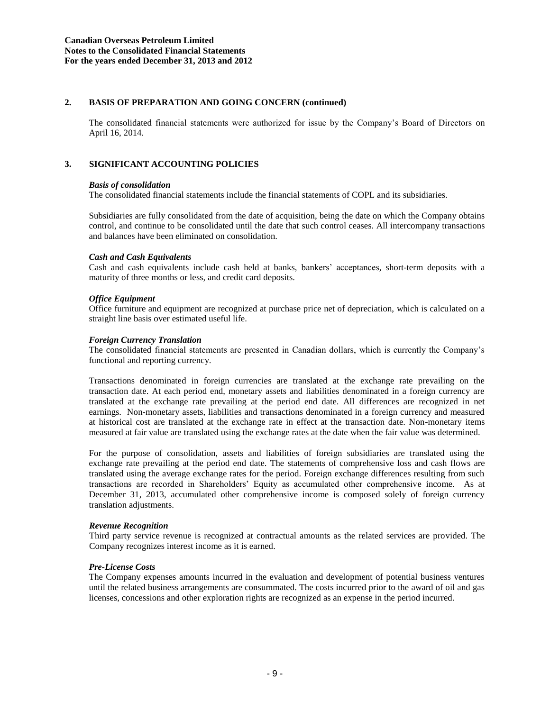### **2. BASIS OF PREPARATION AND GOING CONCERN (continued)**

The consolidated financial statements were authorized for issue by the Company's Board of Directors on April 16, 2014.

### **3. SIGNIFICANT ACCOUNTING POLICIES**

### *Basis of consolidation*

The consolidated financial statements include the financial statements of COPL and its subsidiaries.

Subsidiaries are fully consolidated from the date of acquisition, being the date on which the Company obtains control, and continue to be consolidated until the date that such control ceases. All intercompany transactions and balances have been eliminated on consolidation.

### *Cash and Cash Equivalents*

Cash and cash equivalents include cash held at banks, bankers' acceptances, short-term deposits with a maturity of three months or less, and credit card deposits.

### *Office Equipment*

Office furniture and equipment are recognized at purchase price net of depreciation, which is calculated on a straight line basis over estimated useful life.

### *Foreign Currency Translation*

The consolidated financial statements are presented in Canadian dollars, which is currently the Company's functional and reporting currency.

Transactions denominated in foreign currencies are translated at the exchange rate prevailing on the transaction date. At each period end, monetary assets and liabilities denominated in a foreign currency are translated at the exchange rate prevailing at the period end date. All differences are recognized in net earnings. Non-monetary assets, liabilities and transactions denominated in a foreign currency and measured at historical cost are translated at the exchange rate in effect at the transaction date. Non-monetary items measured at fair value are translated using the exchange rates at the date when the fair value was determined.

For the purpose of consolidation, assets and liabilities of foreign subsidiaries are translated using the exchange rate prevailing at the period end date. The statements of comprehensive loss and cash flows are translated using the average exchange rates for the period. Foreign exchange differences resulting from such transactions are recorded in Shareholders' Equity as accumulated other comprehensive income. As at December 31, 2013, accumulated other comprehensive income is composed solely of foreign currency translation adjustments.

#### *Revenue Recognition*

Third party service revenue is recognized at contractual amounts as the related services are provided. The Company recognizes interest income as it is earned.

#### *Pre-License Costs*

The Company expenses amounts incurred in the evaluation and development of potential business ventures until the related business arrangements are consummated. The costs incurred prior to the award of oil and gas licenses, concessions and other exploration rights are recognized as an expense in the period incurred.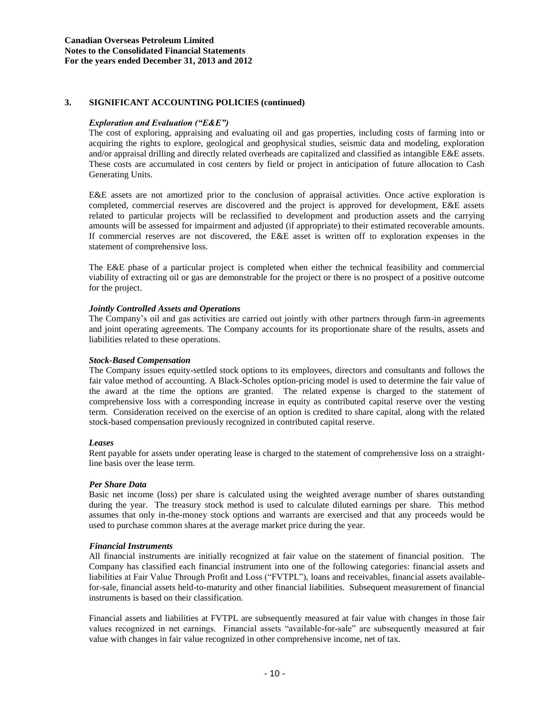### **3. SIGNIFICANT ACCOUNTING POLICIES (continued)**

### *Exploration and Evaluation ("E&E")*

The cost of exploring, appraising and evaluating oil and gas properties, including costs of farming into or acquiring the rights to explore, geological and geophysical studies, seismic data and modeling, exploration and/or appraisal drilling and directly related overheads are capitalized and classified as intangible E&E assets. These costs are accumulated in cost centers by field or project in anticipation of future allocation to Cash Generating Units.

E&E assets are not amortized prior to the conclusion of appraisal activities. Once active exploration is completed, commercial reserves are discovered and the project is approved for development, E&E assets related to particular projects will be reclassified to development and production assets and the carrying amounts will be assessed for impairment and adjusted (if appropriate) to their estimated recoverable amounts. If commercial reserves are not discovered, the E&E asset is written off to exploration expenses in the statement of comprehensive loss.

The E&E phase of a particular project is completed when either the technical feasibility and commercial viability of extracting oil or gas are demonstrable for the project or there is no prospect of a positive outcome for the project.

#### *Jointly Controlled Assets and Operations*

The Company's oil and gas activities are carried out jointly with other partners through farm-in agreements and joint operating agreements. The Company accounts for its proportionate share of the results, assets and liabilities related to these operations.

### *Stock-Based Compensation*

The Company issues equity-settled stock options to its employees, directors and consultants and follows the fair value method of accounting. A Black-Scholes option-pricing model is used to determine the fair value of the award at the time the options are granted. The related expense is charged to the statement of comprehensive loss with a corresponding increase in equity as contributed capital reserve over the vesting term. Consideration received on the exercise of an option is credited to share capital, along with the related stock-based compensation previously recognized in contributed capital reserve.

#### *Leases*

Rent payable for assets under operating lease is charged to the statement of comprehensive loss on a straightline basis over the lease term.

### *Per Share Data*

Basic net income (loss) per share is calculated using the weighted average number of shares outstanding during the year. The treasury stock method is used to calculate diluted earnings per share. This method assumes that only in-the-money stock options and warrants are exercised and that any proceeds would be used to purchase common shares at the average market price during the year.

#### *Financial Instruments*

All financial instruments are initially recognized at fair value on the statement of financial position. The Company has classified each financial instrument into one of the following categories: financial assets and liabilities at Fair Value Through Profit and Loss ("FVTPL"), loans and receivables, financial assets availablefor-sale, financial assets held-to-maturity and other financial liabilities. Subsequent measurement of financial instruments is based on their classification.

Financial assets and liabilities at FVTPL are subsequently measured at fair value with changes in those fair values recognized in net earnings. Financial assets "available-for-sale" are subsequently measured at fair value with changes in fair value recognized in other comprehensive income, net of tax.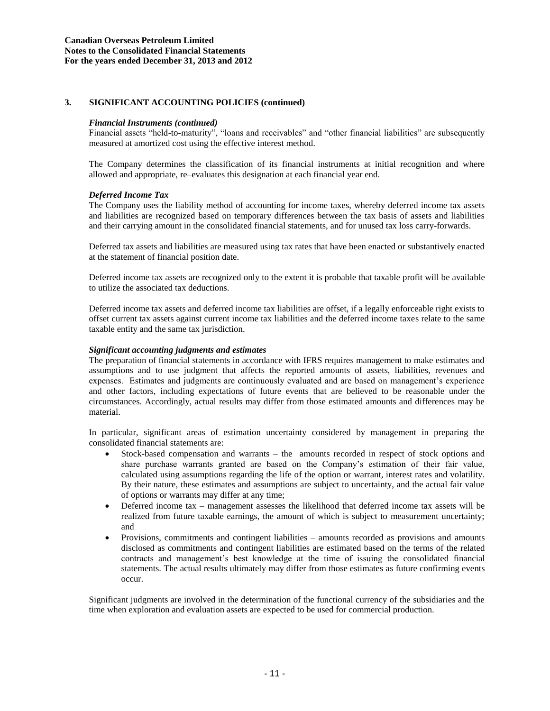### **3. SIGNIFICANT ACCOUNTING POLICIES (continued)**

### *Financial Instruments (continued)*

Financial assets "held-to-maturity", "loans and receivables" and "other financial liabilities" are subsequently measured at amortized cost using the effective interest method.

The Company determines the classification of its financial instruments at initial recognition and where allowed and appropriate, re–evaluates this designation at each financial year end.

### *Deferred Income Tax*

The Company uses the liability method of accounting for income taxes, whereby deferred income tax assets and liabilities are recognized based on temporary differences between the tax basis of assets and liabilities and their carrying amount in the consolidated financial statements, and for unused tax loss carry-forwards.

Deferred tax assets and liabilities are measured using tax rates that have been enacted or substantively enacted at the statement of financial position date.

Deferred income tax assets are recognized only to the extent it is probable that taxable profit will be available to utilize the associated tax deductions.

Deferred income tax assets and deferred income tax liabilities are offset, if a legally enforceable right exists to offset current tax assets against current income tax liabilities and the deferred income taxes relate to the same taxable entity and the same tax jurisdiction.

### *Significant accounting judgments and estimates*

The preparation of financial statements in accordance with IFRS requires management to make estimates and assumptions and to use judgment that affects the reported amounts of assets, liabilities, revenues and expenses. Estimates and judgments are continuously evaluated and are based on management's experience and other factors, including expectations of future events that are believed to be reasonable under the circumstances. Accordingly, actual results may differ from those estimated amounts and differences may be material.

In particular, significant areas of estimation uncertainty considered by management in preparing the consolidated financial statements are:

- Stock-based compensation and warrants the amounts recorded in respect of stock options and share purchase warrants granted are based on the Company's estimation of their fair value, calculated using assumptions regarding the life of the option or warrant, interest rates and volatility. By their nature, these estimates and assumptions are subject to uncertainty, and the actual fair value of options or warrants may differ at any time;
- Deferred income tax management assesses the likelihood that deferred income tax assets will be realized from future taxable earnings, the amount of which is subject to measurement uncertainty; and
- Provisions, commitments and contingent liabilities amounts recorded as provisions and amounts disclosed as commitments and contingent liabilities are estimated based on the terms of the related contracts and management's best knowledge at the time of issuing the consolidated financial statements. The actual results ultimately may differ from those estimates as future confirming events occur.

Significant judgments are involved in the determination of the functional currency of the subsidiaries and the time when exploration and evaluation assets are expected to be used for commercial production.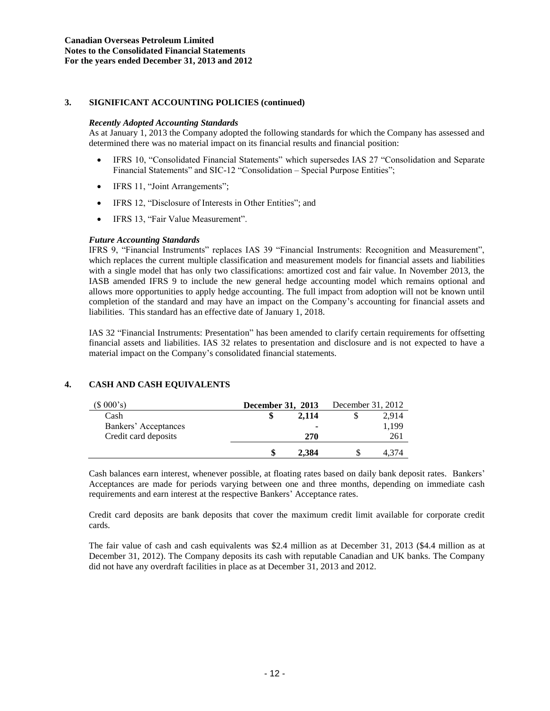### **3. SIGNIFICANT ACCOUNTING POLICIES (continued)**

### *Recently Adopted Accounting Standards*

As at January 1, 2013 the Company adopted the following standards for which the Company has assessed and determined there was no material impact on its financial results and financial position:

- IFRS 10, "Consolidated Financial Statements" which supersedes IAS 27 "Consolidation and Separate Financial Statements" and SIC-12 "Consolidation – Special Purpose Entities";
- IFRS 11, "Joint Arrangements";
- IFRS 12, "Disclosure of Interests in Other Entities"; and
- IFRS 13, "Fair Value Measurement".

### *Future Accounting Standards*

IFRS 9, "Financial Instruments" replaces IAS 39 "Financial Instruments: Recognition and Measurement", which replaces the current multiple classification and measurement models for financial assets and liabilities with a single model that has only two classifications: amortized cost and fair value. In November 2013, the IASB amended IFRS 9 to include the new general hedge accounting model which remains optional and allows more opportunities to apply hedge accounting. The full impact from adoption will not be known until completion of the standard and may have an impact on the Company's accounting for financial assets and liabilities. This standard has an effective date of January 1, 2018.

IAS 32 "Financial Instruments: Presentation" has been amended to clarify certain requirements for offsetting financial assets and liabilities. IAS 32 relates to presentation and disclosure and is not expected to have a material impact on the Company's consolidated financial statements.

| (\$000's)            | <b>December 31, 2013</b> | December 31, 2012 |       |
|----------------------|--------------------------|-------------------|-------|
| Cash                 | 2.114                    |                   | 2.914 |
| Bankers' Acceptances | ۰                        |                   | 1.199 |
| Credit card deposits | 270                      |                   | 261   |
|                      | 2.384                    |                   | 4.374 |

# **4. CASH AND CASH EQUIVALENTS**

Cash balances earn interest, whenever possible, at floating rates based on daily bank deposit rates. Bankers' Acceptances are made for periods varying between one and three months, depending on immediate cash requirements and earn interest at the respective Bankers' Acceptance rates.

Credit card deposits are bank deposits that cover the maximum credit limit available for corporate credit cards.

The fair value of cash and cash equivalents was \$2.4 million as at December 31, 2013 (\$4.4 million as at December 31, 2012). The Company deposits its cash with reputable Canadian and UK banks. The Company did not have any overdraft facilities in place as at December 31, 2013 and 2012.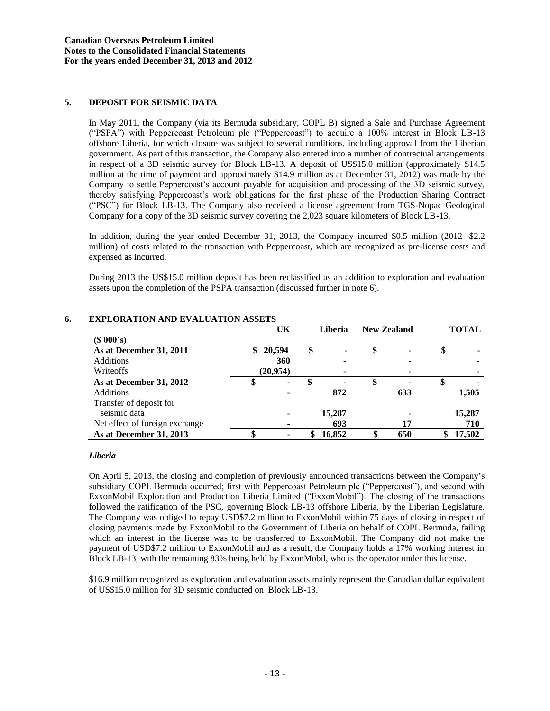### **5. DEPOSIT FOR SEISMIC DATA**

In May 2011, the Company (via its Bermuda subsidiary, COPL B) signed a Sale and Purchase Agreement ("PSPA") with Peppercoast Petroleum plc ("Peppercoast") to acquire a 100% interest in Block LB-13 offshore Liberia, for which closure was subject to several conditions, including approval from the Liberian government. As part of this transaction, the Company also entered into a number of contractual arrangements in respect of a 3D seismic survey for Block LB-13. A deposit of US\$15.0 million (approximately \$14.5 million at the time of payment and approximately \$14.9 million as at December 31, 2012) was made by the Company to settle Peppercoast's account payable for acquisition and processing of the 3D seismic survey, thereby satisfying Peppercoast's work obligations for the first phase of the Production Sharing Contract ("PSC") for Block LB-13. The Company also received a license agreement from TGS-Nopac Geological Company for a copy of the 3D seismic survey covering the 2,023 square kilometers of Block LB-13.

In addition, during the year ended December 31, 2013, the Company incurred \$0.5 million (2012 -\$2.2 million) of costs related to the transaction with Peppercoast, which are recognized as pre-license costs and expensed as incurred.

During 2013 the US\$15.0 million deposit has been reclassified as an addition to exploration and evaluation assets upon the completion of the PSPA transaction (discussed further in note 6).

|                                | UK           | <b>Liberia</b>           | <b>New Zealand</b> | <b>TOTAL</b> |
|--------------------------------|--------------|--------------------------|--------------------|--------------|
| $(S\ 000's)$                   |              |                          |                    |              |
| As at December 31, 2011        | \$<br>20,594 | \$<br>٠                  | ۰                  |              |
| <b>Additions</b>               | 360          | $\overline{\phantom{a}}$ | ۰                  |              |
| Writeoffs                      | (20, 954)    |                          |                    |              |
| As at December 31, 2012        | ۰            | ۰                        | ۰                  |              |
| <b>Additions</b>               |              | 872                      | 633                | 1,505        |
| Transfer of deposit for        |              |                          |                    |              |
| seismic data                   |              | 15,287                   |                    | 15,287       |
| Net effect of foreign exchange |              | 693                      | 17                 | 710          |
| As at December 31, 2013        |              | \$<br>16.852             | 650                | 17,502       |

# **6. EXPLORATION AND EVALUATION ASSETS**

### *Liberia*

On April 5, 2013, the closing and completion of previously announced transactions between the Company's subsidiary COPL Bermuda occurred; first with Peppercoast Petroleum plc ("Peppercoast"), and second with ExxonMobil Exploration and Production Liberia Limited ("ExxonMobil"). The closing of the transactions followed the ratification of the PSC, governing Block LB-13 offshore Liberia, by the Liberian Legislature. The Company was obliged to repay USD\$7.2 million to ExxonMobil within 75 days of closing in respect of closing payments made by ExxonMobil to the Government of Liberia on behalf of COPL Bermuda, failing which an interest in the license was to be transferred to ExxonMobil. The Company did not make the payment of USD\$7.2 million to ExxonMobil and as a result, the Company holds a 17% working interest in Block LB-13, with the remaining 83% being held by ExxonMobil, who is the operator under this license.

\$16.9 million recognized as exploration and evaluation assets mainly represent the Canadian dollar equivalent of US\$15.0 million for 3D seismic conducted on Block LB-13.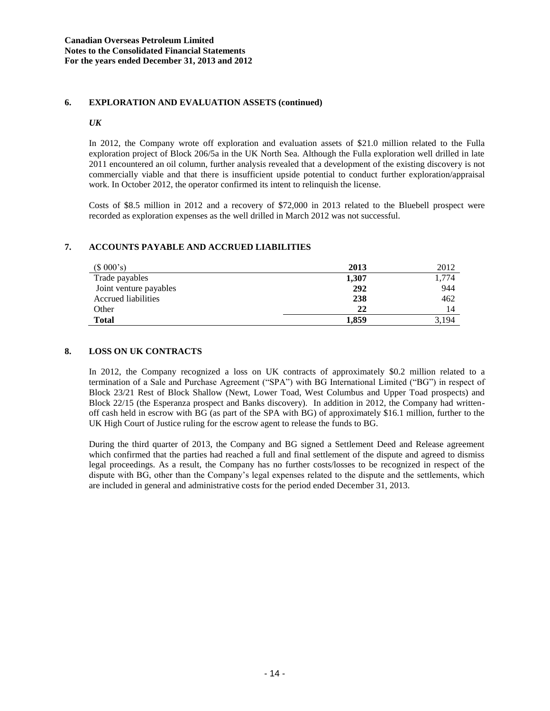### **6. EXPLORATION AND EVALUATION ASSETS (continued)**

### *UK*

In 2012, the Company wrote off exploration and evaluation assets of \$21.0 million related to the Fulla exploration project of Block 206/5a in the UK North Sea. Although the Fulla exploration well drilled in late 2011 encountered an oil column, further analysis revealed that a development of the existing discovery is not commercially viable and that there is insufficient upside potential to conduct further exploration/appraisal work. In October 2012, the operator confirmed its intent to relinquish the license.

Costs of \$8.5 million in 2012 and a recovery of \$72,000 in 2013 related to the Bluebell prospect were recorded as exploration expenses as the well drilled in March 2012 was not successful.

# **7. ACCOUNTS PAYABLE AND ACCRUED LIABILITIES**

| (\$000's)                  | 2013  | 2012  |
|----------------------------|-------|-------|
| Trade payables             | 1,307 | 1,774 |
| Joint venture payables     | 292   | 944   |
| <b>Accrued liabilities</b> | 238   | 462   |
| Other                      | 22    | 14    |
| <b>Total</b>               | 1.859 | 3.194 |

### **8. LOSS ON UK CONTRACTS**

In 2012, the Company recognized a loss on UK contracts of approximately \$0.2 million related to a termination of a Sale and Purchase Agreement ("SPA") with BG International Limited ("BG") in respect of Block 23/21 Rest of Block Shallow (Newt, Lower Toad, West Columbus and Upper Toad prospects) and Block 22/15 (the Esperanza prospect and Banks discovery). In addition in 2012, the Company had writtenoff cash held in escrow with BG (as part of the SPA with BG) of approximately \$16.1 million, further to the UK High Court of Justice ruling for the escrow agent to release the funds to BG.

During the third quarter of 2013, the Company and BG signed a Settlement Deed and Release agreement which confirmed that the parties had reached a full and final settlement of the dispute and agreed to dismiss legal proceedings. As a result, the Company has no further costs/losses to be recognized in respect of the dispute with BG, other than the Company's legal expenses related to the dispute and the settlements, which are included in general and administrative costs for the period ended December 31, 2013.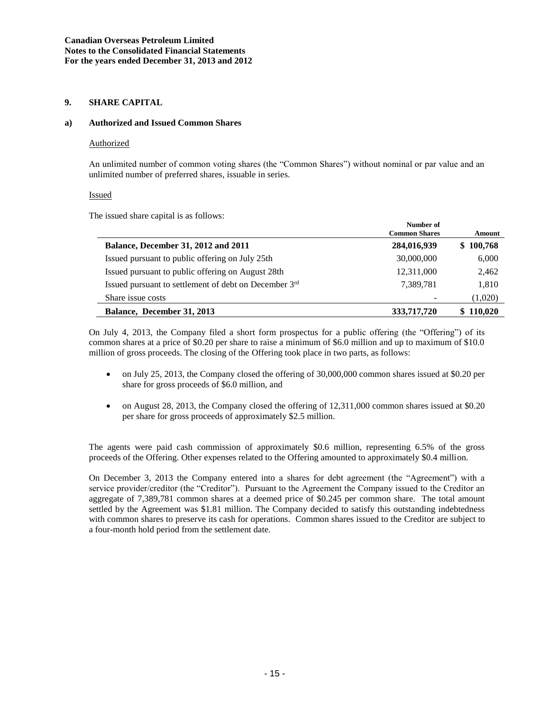### **9. SHARE CAPITAL**

#### **a) Authorized and Issued Common Shares**

### Authorized

An unlimited number of common voting shares (the "Common Shares") without nominal or par value and an unlimited number of preferred shares, issuable in series.

### Issued

The issued share capital is as follows:

|                                                       | Number of<br><b>Common Shares</b> | Amount    |
|-------------------------------------------------------|-----------------------------------|-----------|
| <b>Balance, December 31, 2012 and 2011</b>            | 284,016,939                       | \$100,768 |
| Issued pursuant to public offering on July 25th       | 30,000,000                        | 6,000     |
| Issued pursuant to public offering on August 28th     | 12,311,000                        | 2,462     |
| Issued pursuant to settlement of debt on December 3rd | 7.389.781                         | 1,810     |
| Share issue costs                                     |                                   | (1,020)   |
| Balance, December 31, 2013                            | 333,717,720                       | \$110,020 |

On July 4, 2013, the Company filed a short form prospectus for a public offering (the "Offering") of its common shares at a price of \$0.20 per share to raise a minimum of \$6.0 million and up to maximum of \$10.0 million of gross proceeds. The closing of the Offering took place in two parts, as follows:

- on July 25, 2013, the Company closed the offering of 30,000,000 common shares issued at \$0.20 per share for gross proceeds of \$6.0 million, and
- on August 28, 2013, the Company closed the offering of 12,311,000 common shares issued at \$0.20 per share for gross proceeds of approximately \$2.5 million.

The agents were paid cash commission of approximately \$0.6 million, representing 6.5% of the gross proceeds of the Offering. Other expenses related to the Offering amounted to approximately \$0.4 million.

On December 3, 2013 the Company entered into a shares for debt agreement (the "Agreement") with a service provider/creditor (the "Creditor"). Pursuant to the Agreement the Company issued to the Creditor an aggregate of 7,389,781 common shares at a deemed price of \$0.245 per common share. The total amount settled by the Agreement was \$1.81 million. The Company decided to satisfy this outstanding indebtedness with common shares to preserve its cash for operations. Common shares issued to the Creditor are subject to a four-month hold period from the settlement date.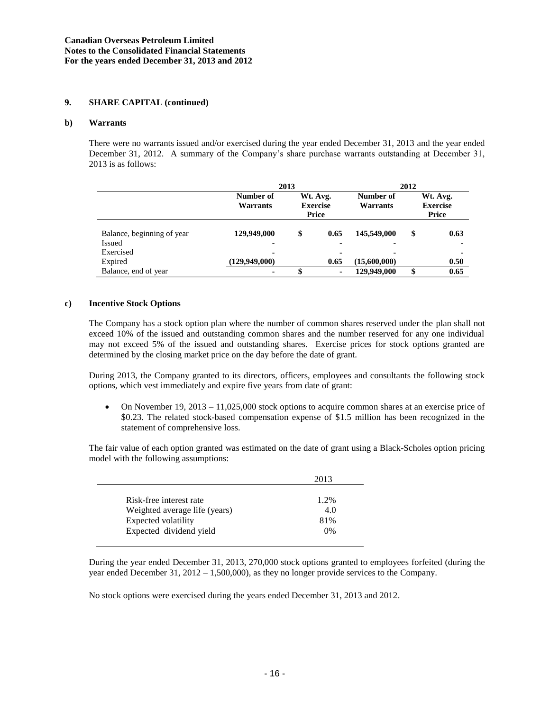### **9. SHARE CAPITAL (continued)**

### **b) Warrants**

There were no warrants issued and/or exercised during the year ended December 31, 2013 and the year ended December 31, 2012. A summary of the Company's share purchase warrants outstanding at December 31, 2013 is as follows:

|                                      |                       | 2013                                 |      |                              | 2012 |                                      |  |
|--------------------------------------|-----------------------|--------------------------------------|------|------------------------------|------|--------------------------------------|--|
|                                      | Number of<br>Warrants | Wt. Avg.<br><b>Exercise</b><br>Price |      | Number of<br><b>Warrants</b> |      | Wt. Avg.<br><b>Exercise</b><br>Price |  |
| Balance, beginning of year<br>Issued | 129,949,000<br>۰      | \$                                   | 0.65 | 145,549,000                  | \$   | 0.63<br>$\blacksquare$               |  |
| Exercised<br>Expired                 | -<br>(129, 949, 000)  |                                      | 0.65 | (15,600,000)                 |      | $\blacksquare$<br>0.50               |  |
| Balance, end of year                 | $\blacksquare$        | ¢<br>æ                               |      | 129,949,000                  | \$   | 0.65                                 |  |

#### **c) Incentive Stock Options**

The Company has a stock option plan where the number of common shares reserved under the plan shall not exceed 10% of the issued and outstanding common shares and the number reserved for any one individual may not exceed 5% of the issued and outstanding shares. Exercise prices for stock options granted are determined by the closing market price on the day before the date of grant.

During 2013, the Company granted to its directors, officers, employees and consultants the following stock options, which vest immediately and expire five years from date of grant:

• On November 19, 2013 – 11,025,000 stock options to acquire common shares at an exercise price of \$0.23. The related stock-based compensation expense of \$1.5 million has been recognized in the statement of comprehensive loss.

The fair value of each option granted was estimated on the date of grant using a Black-Scholes option pricing model with the following assumptions:

|                               | 2013 |
|-------------------------------|------|
| Risk-free interest rate       | 1.2% |
| Weighted average life (years) | 4.0  |
| Expected volatility           | 81%  |
| Expected dividend yield       | 0%   |

During the year ended December 31, 2013, 270,000 stock options granted to employees forfeited (during the year ended December 31, 2012 – 1,500,000), as they no longer provide services to the Company.

No stock options were exercised during the years ended December 31, 2013 and 2012.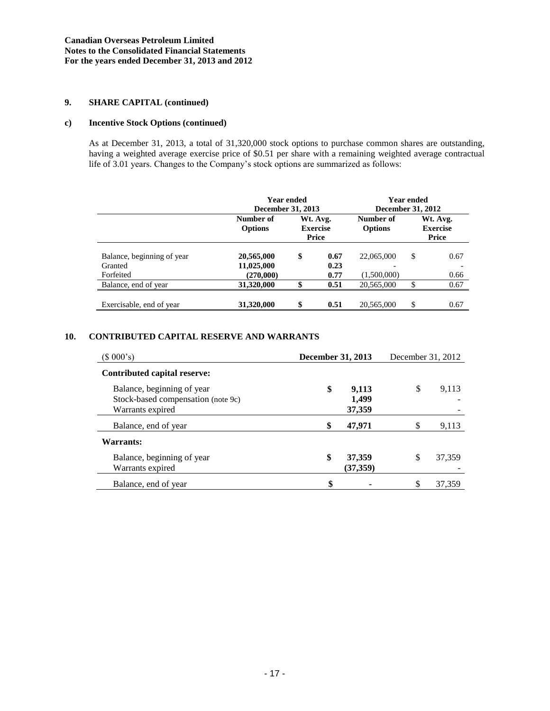### **9. SHARE CAPITAL (continued)**

### **c) Incentive Stock Options (continued)**

As at December 31, 2013, a total of 31,320,000 stock options to purchase common shares are outstanding, having a weighted average exercise price of \$0.51 per share with a remaining weighted average contractual life of 3.01 years. Changes to the Company's stock options are summarized as follows:

|                                                    | <b>Year ended</b><br><b>December 31, 2013</b> |                                      |                      | <b>Year ended</b><br><b>December 31, 2012</b> |    |                                      |
|----------------------------------------------------|-----------------------------------------------|--------------------------------------|----------------------|-----------------------------------------------|----|--------------------------------------|
|                                                    | Number of<br><b>Options</b>                   | Wt. Avg.<br><b>Exercise</b><br>Price |                      | Number of<br><b>Options</b>                   |    | Wt. Avg.<br><b>Exercise</b><br>Price |
| Balance, beginning of year<br>Granted<br>Forfeited | 20,565,000<br>11,025,000<br>(270,000)         | \$                                   | 0.67<br>0.23<br>0.77 | 22,065,000<br>(1,500,000)                     | S  | 0.67<br>0.66                         |
| Balance, end of year                               | 31,320,000                                    | ¢                                    | 0.51                 | 20,565,000                                    | \$ | 0.67                                 |
| Exercisable, end of year                           | 31,320,000                                    | \$                                   | 0.51                 | 20,565,000                                    | \$ | 0.67                                 |

# **10. CONTRIBUTED CAPITAL RESERVE AND WARRANTS**

| (\$000's)                                                                            | <b>December 31, 2013</b> |                          | December 31, 2012 |        |
|--------------------------------------------------------------------------------------|--------------------------|--------------------------|-------------------|--------|
| Contributed capital reserve:                                                         |                          |                          |                   |        |
| Balance, beginning of year<br>Stock-based compensation (note 9c)<br>Warrants expired | \$                       | 9,113<br>1,499<br>37,359 | \$                | 9,113  |
| Balance, end of year                                                                 |                          | 47,971                   |                   | 9,113  |
| Warrants:<br>Balance, beginning of year<br>Warrants expired                          | \$                       | 37,359<br>(37, 359)      | S                 | 37,359 |
| Balance, end of year                                                                 |                          |                          |                   | 37,359 |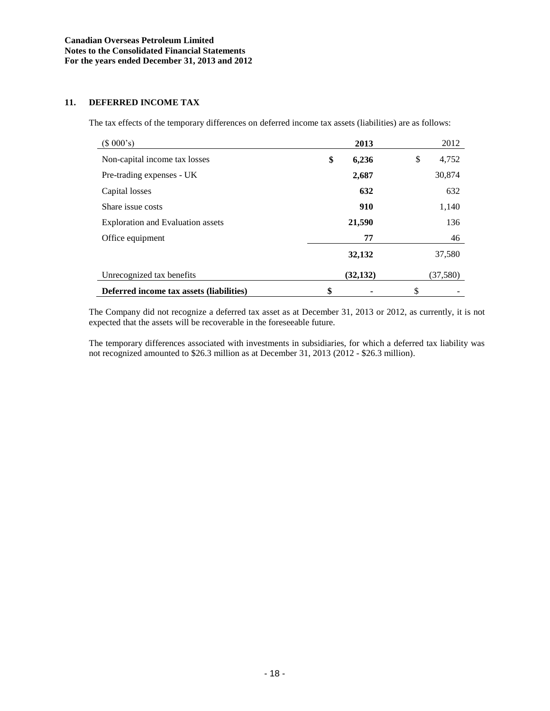### **11. DEFERRED INCOME TAX**

The tax effects of the temporary differences on deferred income tax assets (liabilities) are as follows:

| (\$000's)                                | 2013        | 2012        |
|------------------------------------------|-------------|-------------|
| Non-capital income tax losses            | \$<br>6,236 | \$<br>4,752 |
| Pre-trading expenses - UK                | 2,687       | 30,874      |
| Capital losses                           | 632         | 632         |
| Share issue costs                        | 910         | 1,140       |
| <b>Exploration and Evaluation assets</b> | 21,590      | 136         |
| Office equipment                         | 77          | 46          |
|                                          | 32,132      | 37,580      |
| Unrecognized tax benefits                | (32, 132)   | (37, 580)   |
| Deferred income tax assets (liabilities) | \$          | \$          |

The Company did not recognize a deferred tax asset as at December 31, 2013 or 2012, as currently, it is not expected that the assets will be recoverable in the foreseeable future.

The temporary differences associated with investments in subsidiaries, for which a deferred tax liability was not recognized amounted to \$26.3 million as at December 31, 2013 (2012 - \$26.3 million).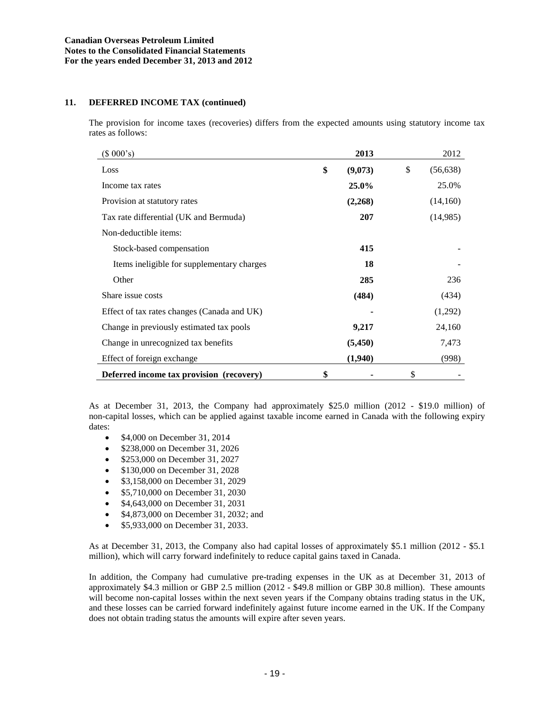### **11. DEFERRED INCOME TAX (continued)**

The provision for income taxes (recoveries) differs from the expected amounts using statutory income tax rates as follows:

| (\$000's)                                   |          | 2013     | 2012            |
|---------------------------------------------|----------|----------|-----------------|
| Loss                                        | \$       | (9,073)  | \$<br>(56, 638) |
| Income tax rates                            |          | $25.0\%$ | 25.0%           |
| Provision at statutory rates                |          | (2,268)  | (14,160)        |
| Tax rate differential (UK and Bermuda)      |          | 207      | (14,985)        |
| Non-deductible items:                       |          |          |                 |
| Stock-based compensation                    |          | 415      |                 |
| Items ineligible for supplementary charges  |          | 18       |                 |
| Other                                       |          | 285      | 236             |
| Share issue costs                           |          | (484)    | (434)           |
| Effect of tax rates changes (Canada and UK) |          |          | (1,292)         |
| Change in previously estimated tax pools    |          | 9,217    | 24,160          |
| Change in unrecognized tax benefits         | (5, 450) |          | 7,473           |
| Effect of foreign exchange                  |          | (1,940)  | (998)           |
| Deferred income tax provision (recovery)    | \$       |          | \$              |

As at December 31, 2013, the Company had approximately \$25.0 million (2012 - \$19.0 million) of non-capital losses, which can be applied against taxable income earned in Canada with the following expiry dates:

- \$4,000 on December 31, 2014
- **•** \$238,000 on December 31, 2026
- **•** \$253,000 on December 31, 2027
- **•** \$130,000 on December 31, 2028
- \$3,158,000 on December 31, 2029
- \$5,710,000 on December 31, 2030
- \$4,643,000 on December 31, 2031
- \$4,873,000 on December 31, 2032; and
- **\$5,933,000 on December 31, 2033.**

As at December 31, 2013, the Company also had capital losses of approximately \$5.1 million (2012 - \$5.1 million), which will carry forward indefinitely to reduce capital gains taxed in Canada.

In addition, the Company had cumulative pre-trading expenses in the UK as at December 31, 2013 of approximately \$4.3 million or GBP 2.5 million (2012 - \$49.8 million or GBP 30.8 million). These amounts will become non-capital losses within the next seven years if the Company obtains trading status in the UK, and these losses can be carried forward indefinitely against future income earned in the UK. If the Company does not obtain trading status the amounts will expire after seven years.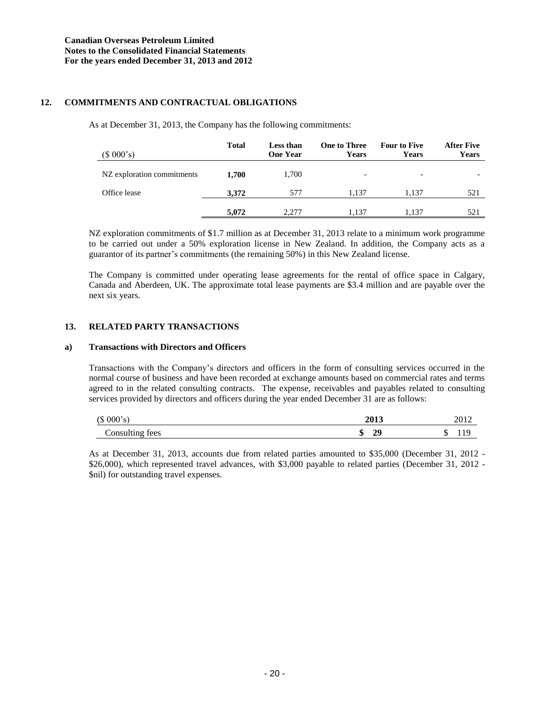### **12. COMMITMENTS AND CONTRACTUAL OBLIGATIONS**

As at December 31, 2013, the Company has the following commitments:

| (S 000's)                  | <b>Total</b> | Less than<br><b>One Year</b> | <b>One to Three</b><br><b>Years</b> | <b>Four to Five</b><br><b>Years</b> | <b>After Five</b><br><b>Years</b> |
|----------------------------|--------------|------------------------------|-------------------------------------|-------------------------------------|-----------------------------------|
| NZ exploration commitments | 1.700        | 1.700                        | -                                   | $\overline{\phantom{0}}$            |                                   |
| Office lease               | 3,372        | 577                          | 1.137                               | 1.137                               | 521                               |
|                            | 5.072        | 2,277                        | 1.137                               | 1.137                               | 521                               |

NZ exploration commitments of \$1.7 million as at December 31, 2013 relate to a minimum work programme to be carried out under a 50% exploration license in New Zealand. In addition, the Company acts as a guarantor of its partner's commitments (the remaining 50%) in this New Zealand license.

The Company is committed under operating lease agreements for the rental of office space in Calgary, Canada and Aberdeen, UK. The approximate total lease payments are \$3.4 million and are payable over the next six years.

### **13. RELATED PARTY TRANSACTIONS**

#### **a) Transactions with Directors and Officers**

Transactions with the Company's directors and officers in the form of consulting services occurred in the normal course of business and have been recorded at exchange amounts based on commercial rates and terms agreed to in the related consulting contracts. The expense, receivables and payables related to consulting services provided by directors and officers during the year ended December 31 are as follows:

| (\$000's)       | <b>2013</b> | 2012   |
|-----------------|-------------|--------|
| Consulting fees | 29<br>ง     | w<br>. |

As at December 31, 2013, accounts due from related parties amounted to \$35,000 (December 31, 2012 - \$26,000), which represented travel advances, with \$3,000 payable to related parties (December 31, 2012 - \$nil) for outstanding travel expenses.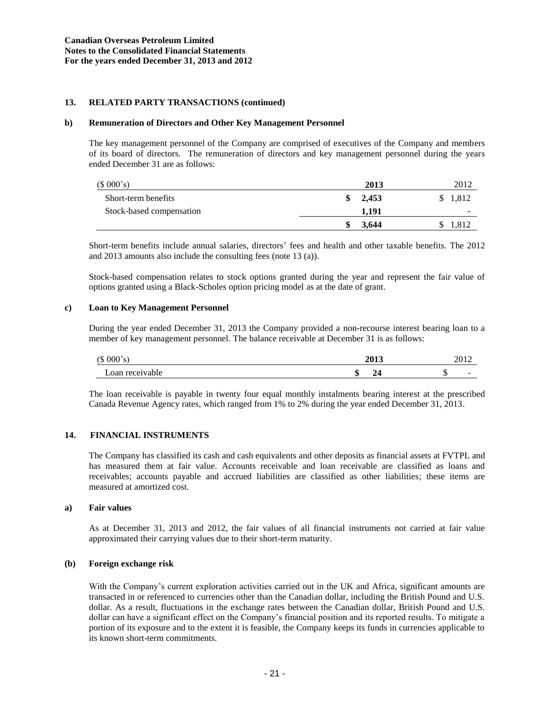### **13. RELATED PARTY TRANSACTIONS (continued)**

#### **b) Remuneration of Directors and Other Key Management Personnel**

The key management personnel of the Company are comprised of executives of the Company and members of its board of directors. The remuneration of directors and key management personnel during the years ended December 31 are as follows:

| (\$000's)                | 2013        | 2012                     |
|--------------------------|-------------|--------------------------|
| Short-term benefits      | 2,453<br>S. | \$ 1,812                 |
| Stock-based compensation | 1.191       | $\overline{\phantom{a}}$ |
|                          | 3,644       | .812                     |

Short-term benefits include annual salaries, directors' fees and health and other taxable benefits. The 2012 and 2013 amounts also include the consulting fees (note 13 (a)).

Stock-based compensation relates to stock options granted during the year and represent the fair value of options granted using a Black-Scholes option pricing model as at the date of grant.

#### **c) Loan to Key Management Personnel**

During the year ended December 31, 2013 the Company provided a non-recourse interest bearing loan to a member of key management personnel. The balance receivable at December 31 is as follows:

| $\sqrt{\$}000\mathrm{'s}$ ,<br>lΦ | 2013 |              |
|-----------------------------------|------|--------------|
| Loan receivable                   | ٠п   | $\sim$<br>ъD |

The loan receivable is payable in twenty four equal monthly instalments bearing interest at the prescribed Canada Revenue Agency rates, which ranged from 1% to 2% during the year ended December 31, 2013.

### **14. FINANCIAL INSTRUMENTS**

The Company has classified its cash and cash equivalents and other deposits as financial assets at FVTPL and has measured them at fair value. Accounts receivable and loan receivable are classified as loans and receivables; accounts payable and accrued liabilities are classified as other liabilities; these items are measured at amortized cost.

#### **a) Fair values**

As at December 31, 2013 and 2012, the fair values of all financial instruments not carried at fair value approximated their carrying values due to their short-term maturity.

#### **(b) Foreign exchange risk**

With the Company's current exploration activities carried out in the UK and Africa, significant amounts are transacted in or referenced to currencies other than the Canadian dollar, including the British Pound and U.S. dollar. As a result, fluctuations in the exchange rates between the Canadian dollar, British Pound and U.S. dollar can have a significant effect on the Company's financial position and its reported results. To mitigate a portion of its exposure and to the extent it is feasible, the Company keeps its funds in currencies applicable to its known short-term commitments.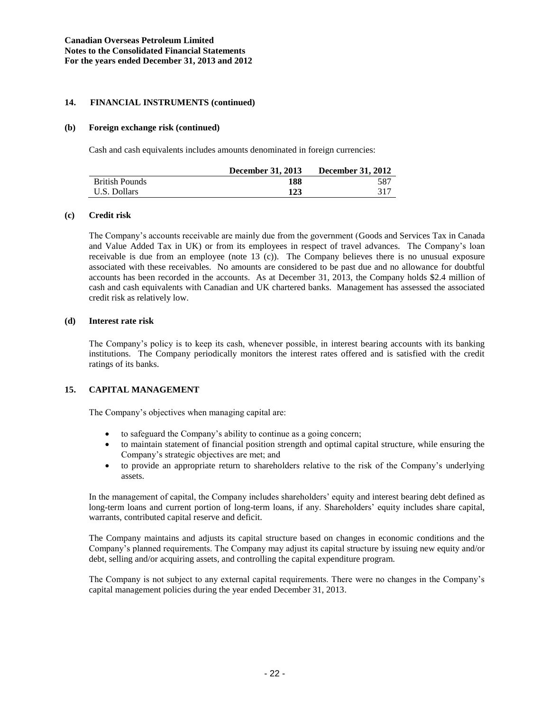### **14. FINANCIAL INSTRUMENTS (continued)**

#### **(b) Foreign exchange risk (continued)**

Cash and cash equivalents includes amounts denominated in foreign currencies:

|                       | <b>December 31, 2013</b> | <b>December 31, 2012</b> |
|-----------------------|--------------------------|--------------------------|
| <b>British Pounds</b> | 188                      | 587                      |
| U.S. Dollars          | 123                      | 317                      |

#### **(c) Credit risk**

The Company's accounts receivable are mainly due from the government (Goods and Services Tax in Canada and Value Added Tax in UK) or from its employees in respect of travel advances. The Company's loan receivable is due from an employee (note 13 (c)). The Company believes there is no unusual exposure associated with these receivables. No amounts are considered to be past due and no allowance for doubtful accounts has been recorded in the accounts. As at December 31, 2013, the Company holds \$2.4 million of cash and cash equivalents with Canadian and UK chartered banks. Management has assessed the associated credit risk as relatively low.

### **(d) Interest rate risk**

The Company's policy is to keep its cash, whenever possible, in interest bearing accounts with its banking institutions. The Company periodically monitors the interest rates offered and is satisfied with the credit ratings of its banks.

### **15. CAPITAL MANAGEMENT**

The Company's objectives when managing capital are:

- to safeguard the Company's ability to continue as a going concern;
- to maintain statement of financial position strength and optimal capital structure, while ensuring the Company's strategic objectives are met; and
- to provide an appropriate return to shareholders relative to the risk of the Company's underlying assets.

In the management of capital, the Company includes shareholders' equity and interest bearing debt defined as long-term loans and current portion of long-term loans, if any. Shareholders' equity includes share capital, warrants, contributed capital reserve and deficit.

The Company maintains and adjusts its capital structure based on changes in economic conditions and the Company's planned requirements. The Company may adjust its capital structure by issuing new equity and/or debt, selling and/or acquiring assets, and controlling the capital expenditure program.

The Company is not subject to any external capital requirements. There were no changes in the Company's capital management policies during the year ended December 31, 2013.